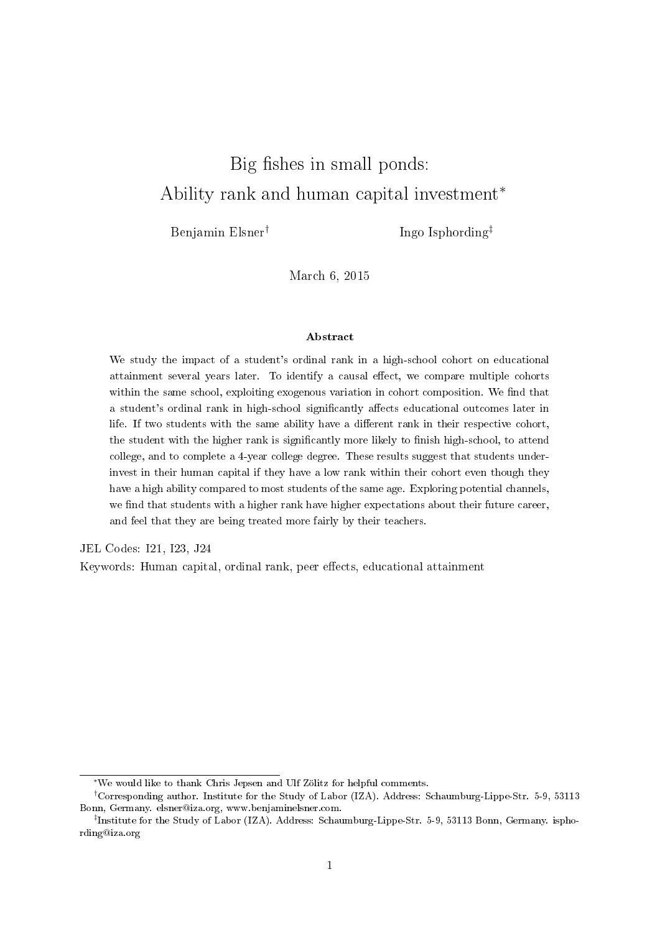# Big fishes in small ponds: Ability rank and human capital investment<sup>∗</sup>

Benjamin Elsner†

Ingo Isphording‡

March 6, 2015

### Abstract

We study the impact of a student's ordinal rank in a high-school cohort on educational attainment several years later. To identify a causal effect, we compare multiple cohorts within the same school, exploiting exogenous variation in cohort composition. We find that a student's ordinal rank in high-school significantly affects educational outcomes later in life. If two students with the same ability have a different rank in their respective cohort, the student with the higher rank is significantly more likely to finish high-school, to attend college, and to complete a 4-year college degree. These results suggest that students underinvest in their human capital if they have a low rank within their cohort even though they have a high ability compared to most students of the same age. Exploring potential channels, we find that students with a higher rank have higher expectations about their future career, and feel that they are being treated more fairly by their teachers.

JEL Codes: I21, I23, J24

Keywords: Human capital, ordinal rank, peer effects, educational attainment

<sup>∗</sup>We would like to thank Chris Jepsen and Ulf Zölitz for helpful comments.

<sup>†</sup>Corresponding author. Institute for the Study of Labor (IZA). Address: Schaumburg-Lippe-Str. 5-9, 53113 Bonn, Germany. [elsner@iza.org,](mailto:elsner@iza.org) [www.benjaminelsner.com.](http://www.benjaminelsner.com)

<sup>‡</sup> Institute for the Study of Labor (IZA). Address: Schaumburg-Lippe-Str. 5-9, 53113 Bonn, Germany. [ispho](mailto:isphording@iza.org)[rding@iza.org](mailto:isphording@iza.org)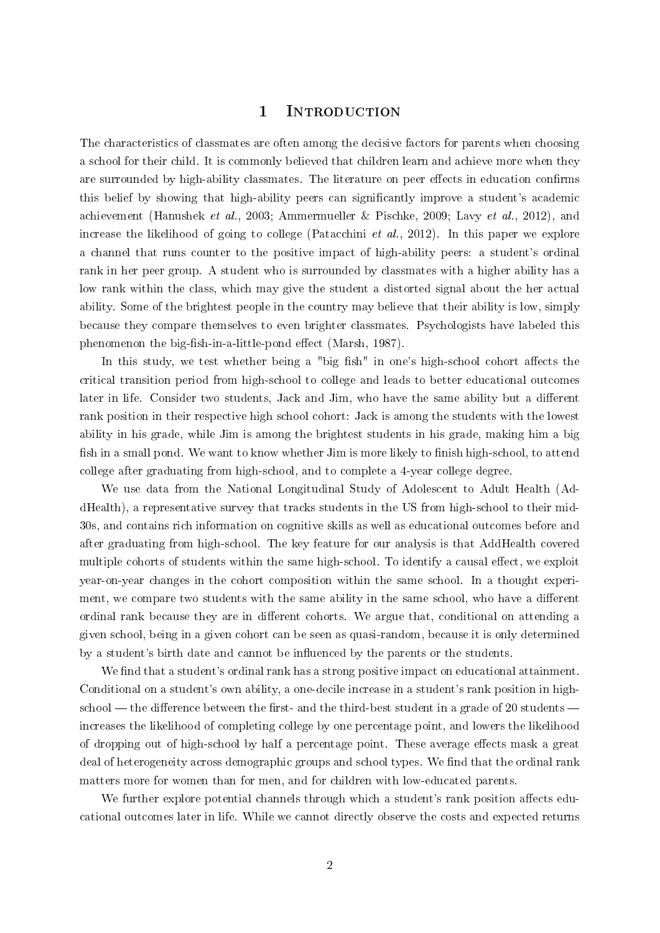### 1 INTRODUCTION

The characteristics of classmates are often among the decisive factors for parents when choosing a school for their child. It is commonly believed that children learn and achieve more when they are surrounded by high-ability classmates. The literature on peer effects in education confirms this belief by showing that high-ability peers can signicantly improve a student's academic achievement [\(Hanushek](#page-19-0) et al., [2003;](#page-19-0) [Ammermueller & Pischke, 2009;](#page-19-1) Lavy [et al., 2012\)](#page-20-0), and increase the likelihood of going to college [\(Patacchini](#page-20-1) et al., [2012\)](#page-20-1). In this paper we explore a channel that runs counter to the positive impact of high-ability peers: a student's ordinal rank in her peer group. A student who is surrounded by classmates with a higher ability has a low rank within the class, which may give the student a distorted signal about the her actual ability. Some of the brightest people in the country may believe that their ability is low, simply because they compare themselves to even brighter classmates. Psychologists have labeled this phenomenon the big-fish-in-a-little-pond effect [\(Marsh, 1987\)](#page-20-2).

In this study, we test whether being a "big fish" in one's high-school cohort affects the critical transition period from high-school to college and leads to better educational outcomes later in life. Consider two students, Jack and Jim, who have the same ability but a different rank position in their respective high school cohort: Jack is among the students with the lowest ability in his grade, while Jim is among the brightest students in his grade, making him a big fish in a small pond. We want to know whether Jim is more likely to finish high-school, to attend college after graduating from high-school, and to complete a 4-year college degree.

We use data from the National Longitudinal Study of Adolescent to Adult Health (AddHealth), a representative survey that tracks students in the US from high-school to their mid-30s, and contains rich information on cognitive skills as well as educational outcomes before and after graduating from high-school. The key feature for our analysis is that AddHealth covered multiple cohorts of students within the same high-school. To identify a causal effect, we exploit year-on-year changes in the cohort composition within the same school. In a thought experiment, we compare two students with the same ability in the same school, who have a different ordinal rank because they are in different cohorts. We argue that, conditional on attending a given school, being in a given cohort can be seen as quasi-random, because it is only determined by a student's birth date and cannot be influenced by the parents or the students.

We find that a student's ordinal rank has a strong positive impact on educational attainment. Conditional on a student's own ability, a one-decile increase in a student's rank position in highschool  $-$  the difference between the first- and the third-best student in a grade of 20 students  $$ increases the likelihood of completing college by one percentage point, and lowers the likelihood of dropping out of high-school by half a percentage point. These average effects mask a great deal of heterogeneity across demographic groups and school types. We find that the ordinal rank matters more for women than for men, and for children with low-educated parents.

We further explore potential channels through which a student's rank position affects educational outcomes later in life. While we cannot directly observe the costs and expected returns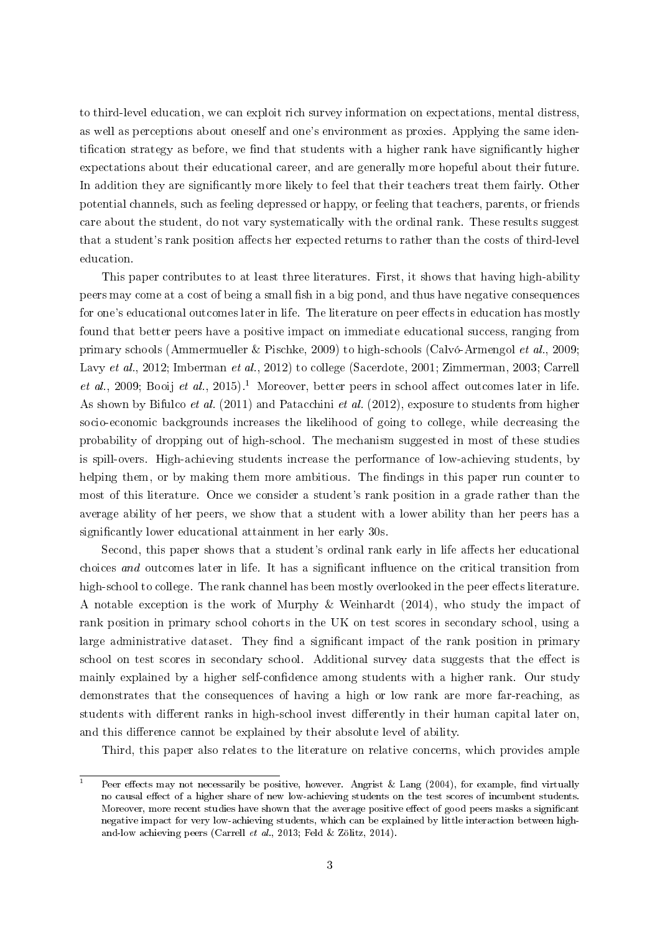to third-level education, we can exploit rich survey information on expectations, mental distress, as well as perceptions about oneself and one's environment as proxies. Applying the same identification strategy as before, we find that students with a higher rank have significantly higher expectations about their educational career, and are generally more hopeful about their future. In addition they are significantly more likely to feel that their teachers treat them fairly. Other potential channels, such as feeling depressed or happy, or feeling that teachers, parents, or friends care about the student, do not vary systematically with the ordinal rank. These results suggest that a student's rank position affects her expected returns to rather than the costs of third-level education.

This paper contributes to at least three literatures. First, it shows that having high-ability peers may come at a cost of being a small fish in a big pond, and thus have negative consequences for one's educational outcomes later in life. The literature on peer effects in education has mostly found that better peers have a positive impact on immediate educational success, ranging from primary schools [\(Ammermueller & Pischke, 2009\)](#page-19-1) to high-schools [\(Calvó-Armengol](#page-19-2) et al., [2009;](#page-19-2) Lavy [et al., 2012;](#page-20-0) [Imberman](#page-20-3) et al., [2012\)](#page-20-3) to college [\(Sacerdote, 2001;](#page-20-4) [Zimmerman, 2003;](#page-20-5) [Carrell](#page-19-3) [et al., 2009;](#page-19-3) [Booij](#page-19-4) et al., [2015\)](#page-19-4).<sup>[1](#page-2-0)</sup> Moreover, better peers in school affect outcomes later in life. As shown by [Bifulco](#page-19-5) *et al.* [\(2011\)](#page-19-5) and [Patacchini](#page-20-1) *et al.* [\(2012\)](#page-20-1), exposure to students from higher socio-economic backgrounds increases the likelihood of going to college, while decreasing the probability of dropping out of high-school. The mechanism suggested in most of these studies is spill-overs. High-achieving students increase the performance of low-achieving students, by helping them, or by making them more ambitious. The findings in this paper run counter to most of this literature. Once we consider a student's rank position in a grade rather than the average ability of her peers, we show that a student with a lower ability than her peers has a significantly lower educational attainment in her early 30s.

Second, this paper shows that a student's ordinal rank early in life affects her educational choices and outcomes later in life. It has a significant influence on the critical transition from high-school to college. The rank channel has been mostly overlooked in the peer effects literature. A notable exception is the work of [Murphy & Weinhardt](#page-20-6) [\(2014\)](#page-20-6), who study the impact of rank position in primary school cohorts in the UK on test scores in secondary school, using a large administrative dataset. They find a significant impact of the rank position in primary school on test scores in secondary school. Additional survey data suggests that the effect is mainly explained by a higher self-confidence among students with a higher rank. Our study demonstrates that the consequences of having a high or low rank are more far-reaching, as students with different ranks in high-school invest differently in their human capital later on, and this difference cannot be explained by their absolute level of ability.

Third, this paper also relates to the literature on relative concerns, which provides ample

<span id="page-2-0"></span>Peer effects may not necessarily be positive, however. [Angrist & Lang](#page-19-6) [\(2004\)](#page-19-6), for example, find virtually no causal effect of a higher share of new low-achieving students on the test scores of incumbent students. Moreover, more recent studies have shown that the average positive effect of good peers masks a significant negative impact for very low-achieving students, which can be explained by little interaction between highand-low achieving peers [\(Carrell](#page-19-7) et al., [2013;](#page-19-7) [Feld & Zölitz, 2014\)](#page-19-8).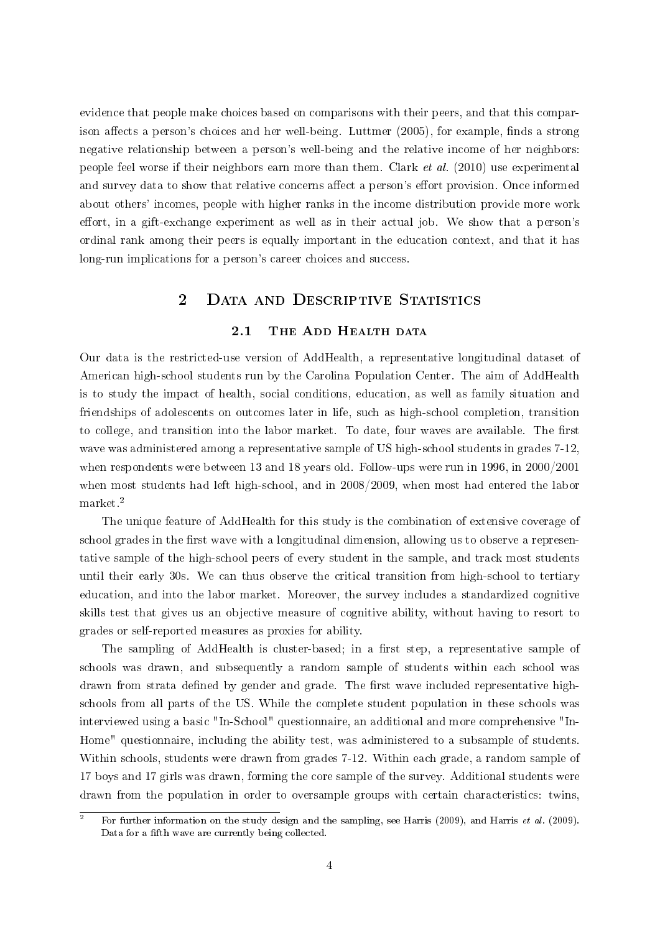evidence that people make choices based on comparisons with their peers, and that this compar-ison affects a person's choices and her well-being. [Luttmer](#page-20-7)  $(2005)$ , for example, finds a strong negative relationship between a person's well-being and the relative income of her neighbors: people feel worse if their neighbors earn more than them. [Clark](#page-19-9) et al. [\(2010\)](#page-19-9) use experimental and survey data to show that relative concerns affect a person's effort provision. Once informed about others' incomes, people with higher ranks in the income distribution provide more work effort, in a gift-exchange experiment as well as in their actual job. We show that a person's ordinal rank among their peers is equally important in the education context, and that it has long-run implications for a person's career choices and success.

# 2 DATA AND DESCRIPTIVE STATISTICS

### 2.1 THE ADD HEALTH DATA

Our data is the restricted-use version of AddHealth, a representative longitudinal dataset of American high-school students run by the Carolina Population Center. The aim of AddHealth is to study the impact of health, social conditions, education, as well as family situation and friendships of adolescents on outcomes later in life, such as high-school completion, transition to college, and transition into the labor market. To date, four waves are available. The first wave was administered among a representative sample of US high-school students in grades 7-12, when respondents were between 13 and 18 years old. Follow-ups were run in 1996, in 2000/2001 when most students had left high-school, and in 2008/2009, when most had entered the labor market.[2](#page-3-0)

The unique feature of AddHealth for this study is the combination of extensive coverage of school grades in the first wave with a longitudinal dimension, allowing us to observe a representative sample of the high-school peers of every student in the sample, and track most students until their early 30s. We can thus observe the critical transition from high-school to tertiary education, and into the labor market. Moreover, the survey includes a standardized cognitive skills test that gives us an objective measure of cognitive ability, without having to resort to grades or self-reported measures as proxies for ability.

The sampling of AddHealth is cluster-based; in a first step, a representative sample of schools was drawn, and subsequently a random sample of students within each school was drawn from strata defined by gender and grade. The first wave included representative highschools from all parts of the US. While the complete student population in these schools was interviewed using a basic "In-School" questionnaire, an additional and more comprehensive "In-Home" questionnaire, including the ability test, was administered to a subsample of students. Within schools, students were drawn from grades 7-12. Within each grade, a random sample of 17 boys and 17 girls was drawn, forming the core sample of the survey. Additional students were drawn from the population in order to oversample groups with certain characteristics: twins,

<span id="page-3-0"></span><sup>&</sup>lt;sup>2</sup> For further information on the study design and the sampling, see [Harris](#page-19-11) [\(2009\)](#page-19-11), and Harris *et al.* (2009). Data for a fifth wave are currently being collected.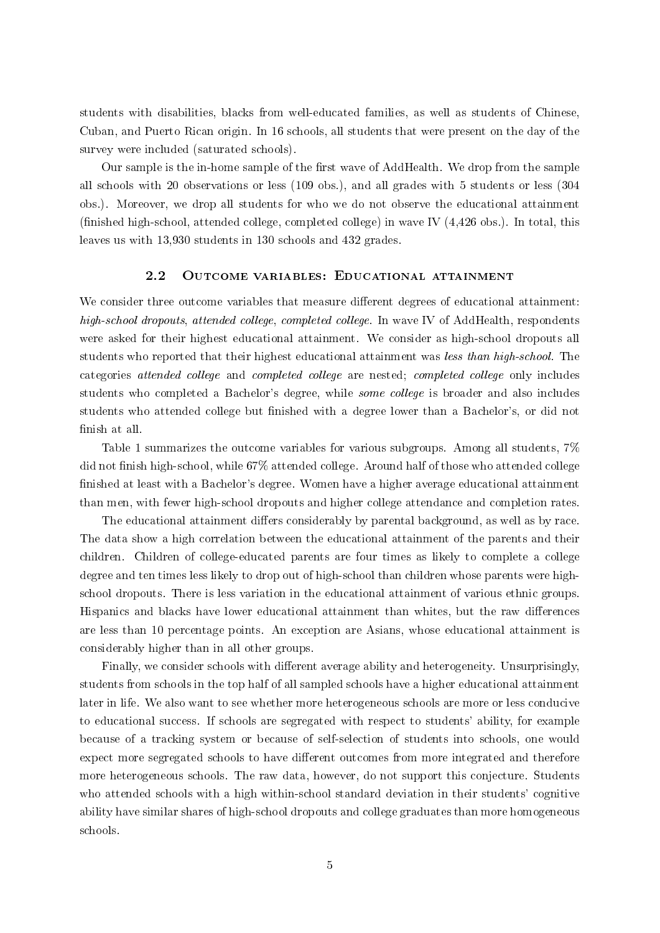students with disabilities, blacks from well-educated families, as well as students of Chinese, Cuban, and Puerto Rican origin. In 16 schools, all students that were present on the day of the survey were included (saturated schools).

Our sample is the in-home sample of the first wave of AddHealth. We drop from the sample all schools with 20 observations or less (109 obs.), and all grades with 5 students or less (304 obs.). Moreover, we drop all students for who we do not observe the educational attainment (finished high-school, attended college, completed college) in wave IV  $(4.426 \text{ obs.})$ . In total, this leaves us with 13,930 students in 130 schools and 432 grades.

#### 2.2 Outcome variables: Educational attainment

We consider three outcome variables that measure different degrees of educational attainment: high-school dropouts, attended college, completed college. In wave IV of AddHealth, respondents were asked for their highest educational attainment. We consider as high-school dropouts all students who reported that their highest educational attainment was less than high-school. The categories attended college and completed college are nested; completed college only includes students who completed a Bachelor's degree, while some college is broader and also includes students who attended college but finished with a degree lower than a Bachelor's, or did not finish at all.

Table [1](#page-5-0) summarizes the outcome variables for various subgroups. Among all students, 7% did not finish high-school, while 67% attended college. Around half of those who attended college nished at least with a Bachelor's degree. Women have a higher average educational attainment than men, with fewer high-school dropouts and higher college attendance and completion rates.

The educational attainment differs considerably by parental background, as well as by race. The data show a high correlation between the educational attainment of the parents and their children. Children of college-educated parents are four times as likely to complete a college degree and ten times less likely to drop out of high-school than children whose parents were highschool dropouts. There is less variation in the educational attainment of various ethnic groups. Hispanics and blacks have lower educational attainment than whites, but the raw differences are less than 10 percentage points. An exception are Asians, whose educational attainment is considerably higher than in all other groups.

Finally, we consider schools with different average ability and heterogeneity. Unsurprisingly, students from schools in the top half of all sampled schools have a higher educational attainment later in life. We also want to see whether more heterogeneous schools are more or less conducive to educational success. If schools are segregated with respect to students' ability, for example because of a tracking system or because of self-selection of students into schools, one would expect more segregated schools to have different outcomes from more integrated and therefore more heterogeneous schools. The raw data, however, do not support this conjecture. Students who attended schools with a high within-school standard deviation in their students' cognitive ability have similar shares of high-school dropouts and college graduates than more homogeneous schools.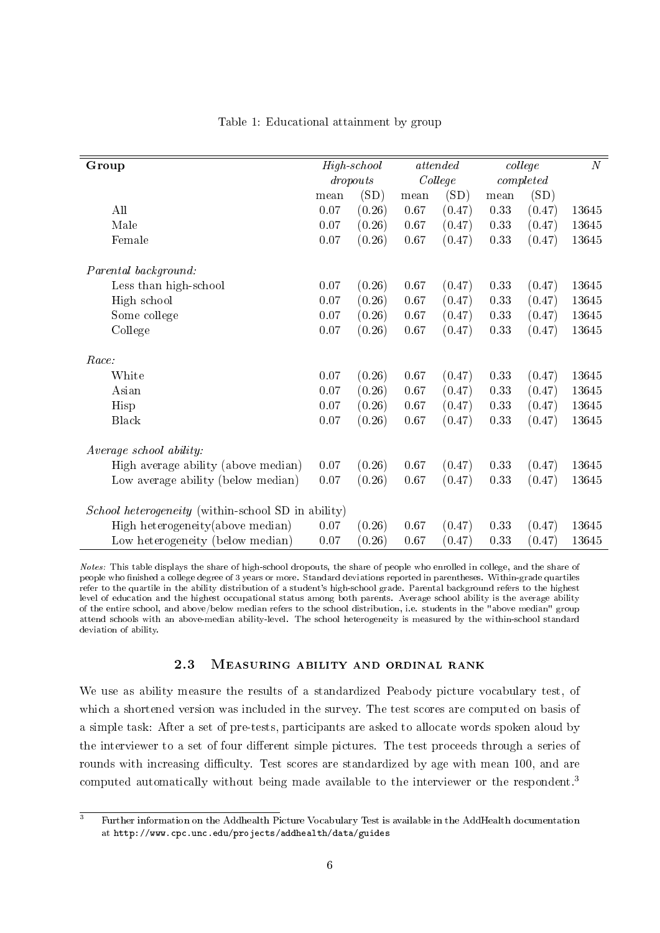<span id="page-5-0"></span>

| Group                                                     |          | $High-school$ |         | attended |                    | college | N     |
|-----------------------------------------------------------|----------|---------------|---------|----------|--------------------|---------|-------|
|                                                           |          | dropouts      | College |          | $\emph{completed}$ |         |       |
|                                                           | mean     | (SD)          | mean    | (SD)     | mean               | (SD)    |       |
| All                                                       | 0.07     | (0.26)        | 0.67    | (0.47)   | 0.33               | (0.47)  | 13645 |
| Male                                                      | 0.07     | (0.26)        | 0.67    | (0.47)   | 0.33               | (0.47)  | 13645 |
| Female                                                    | $0.07\,$ | (0.26)        | 0.67    | (0.47)   | 0.33               | (0.47)  | 13645 |
| Parental background:                                      |          |               |         |          |                    |         |       |
| Less than high-school                                     | $0.07\,$ | (0.26)        | 0.67    | (0.47)   | 0.33               | (0.47)  | 13645 |
| High school                                               | 0.07     | (0.26)        | 0.67    | (0.47)   | 0.33               | (0.47)  | 13645 |
| Some college                                              | 0.07     | (0.26)        | 0.67    | (0.47)   | 0.33               | (0.47)  | 13645 |
| College                                                   | 0.07     | (0.26)        | 0.67    | (0.47)   | 0.33               | (0.47)  | 13645 |
| Race:                                                     |          |               |         |          |                    |         |       |
| White                                                     | 0.07     | (0.26)        | 0.67    | (0.47)   | 0.33               | (0.47)  | 13645 |
| Asian                                                     | 0.07     | (0.26)        | 0.67    | (0.47)   | 0.33               | (0.47)  | 13645 |
| Hisp                                                      | 0.07     | (0.26)        | 0.67    | (0.47)   | 0.33               | (0.47)  | 13645 |
| <b>Black</b>                                              | $0.07\,$ | (0.26)        | 0.67    | (0.47)   | 0.33               | (0.47)  | 13645 |
| Average school ability:                                   |          |               |         |          |                    |         |       |
| High average ability (above median)                       | 0.07     | (0.26)        | 0.67    | (0.47)   | 0.33               | (0.47)  | 13645 |
| Low average ability (below median)                        | $0.07\,$ | (0.26)        | 0.67    | (0.47)   | 0.33               | (0.47)  | 13645 |
| <i>School heterogeneity</i> (within-school SD in ability) |          |               |         |          |                    |         |       |
| High heterogeneity (above median)                         | $0.07\,$ | (0.26)        | 0.67    | (0.47)   | 0.33               | (0.47)  | 13645 |
| Low heterogeneity (below median)                          | 0.07     | (0.26)        | 0.67    | (0.47)   | 0.33               | (0.47)  | 13645 |

### Table 1: Educational attainment by group

Notes: This table displays the share of high-school dropouts, the share of people who enrolled in college, and the share of people who finished a college degree of 3 years or more. Standard deviations reported in parentheses. Within-grade quartiles refer to the quartile in the ability distribution of a student's high-school grade. Parental background refers to the highest level of education and the highest occupational status among both parents. Average school ability is the average ability of the entire school, and above/below median refers to the school distribution, i.e. students in the "above median" group attend schools with an above-median ability-level. The school heterogeneity is measured by the within-school standard deviation of ability.

### 2.3 Measuring ability and ordinal rank

We use as ability measure the results of a standardized Peabody picture vocabulary test, of which a shortened version was included in the survey. The test scores are computed on basis of a simple task: After a set of pre-tests, participants are asked to allocate words spoken aloud by the interviewer to a set of four different simple pictures. The test proceeds through a series of rounds with increasing difficulty. Test scores are standardized by age with mean 100, and are computed automatically without being made available to the interviewer or the respondent.<sup>[3](#page-5-1)</sup>

<span id="page-5-1"></span> $\overline{\text{3}}$  Further information on the Addhealth Picture Vocabulary Test is available in the AddHealth documentation at <http://www.cpc.unc.edu/projects/addhealth/data/guides>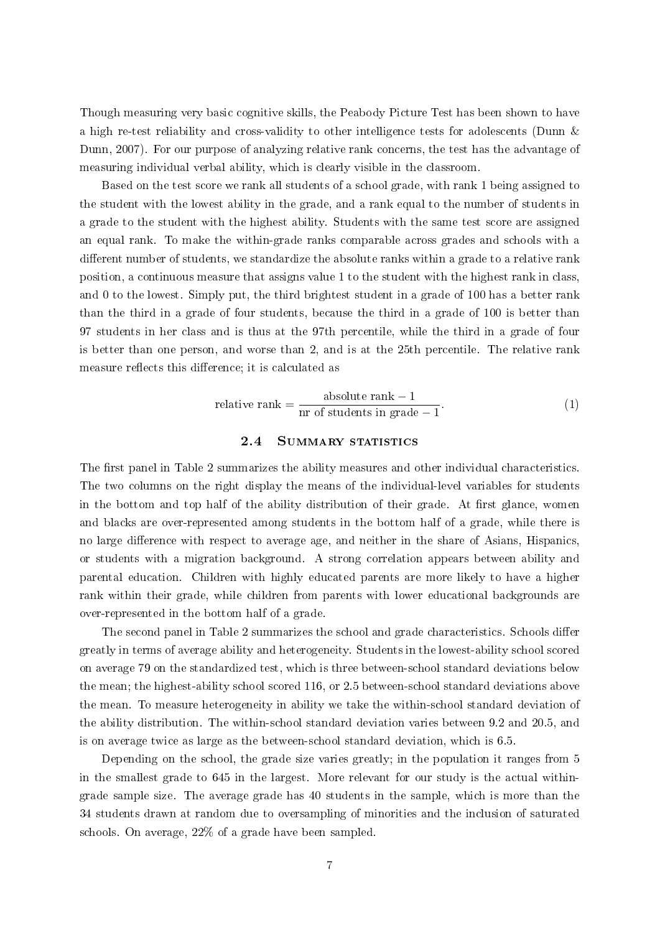Though measuring very basic cognitive skills, the Peabody Picture Test has been shown to have a high re-test reliability and cross-validity to other intelligence tests for adolescents [\(Dunn &](#page-19-12) [Dunn, 2007\)](#page-19-12). For our purpose of analyzing relative rank concerns, the test has the advantage of measuring individual verbal ability, which is clearly visible in the classroom.

Based on the test score we rank all students of a school grade, with rank 1 being assigned to the student with the lowest ability in the grade, and a rank equal to the number of students in a grade to the student with the highest ability. Students with the same test score are assigned an equal rank. To make the within-grade ranks comparable across grades and schools with a different number of students, we standardize the absolute ranks within a grade to a relative rank position, a continuous measure that assigns value 1 to the student with the highest rank in class, and 0 to the lowest. Simply put, the third brightest student in a grade of 100 has a better rank than the third in a grade of four students, because the third in a grade of 100 is better than 97 students in her class and is thus at the 97th percentile, while the third in a grade of four is better than one person, and worse than 2, and is at the 25th percentile. The relative rank measure reflects this difference; it is calculated as

relative rank = 
$$
\frac{\text{absolute rank} - 1}{\text{nr of students in grade} - 1}.
$$
 (1)

#### 2.4 SUMMARY STATISTICS

The first panel in Table [2](#page-7-0) summarizes the ability measures and other individual characteristics. The two columns on the right display the means of the individual-level variables for students in the bottom and top half of the ability distribution of their grade. At first glance, women and blacks are over-represented among students in the bottom half of a grade, while there is no large difference with respect to average age, and neither in the share of Asians, Hispanics, or students with a migration background. A strong correlation appears between ability and parental education. Children with highly educated parents are more likely to have a higher rank within their grade, while children from parents with lower educational backgrounds are over-represented in the bottom half of a grade.

The second panel in Table [2](#page-7-0) summarizes the school and grade characteristics. Schools differ greatly in terms of average ability and heterogeneity. Students in the lowest-ability school scored on average 79 on the standardized test, which is three between-school standard deviations below the mean; the highest-ability school scored 116, or 2.5 between-school standard deviations above the mean. To measure heterogeneity in ability we take the within-school standard deviation of the ability distribution. The within-school standard deviation varies between 9.2 and 20.5, and is on average twice as large as the between-school standard deviation, which is 6.5.

Depending on the school, the grade size varies greatly; in the population it ranges from 5 in the smallest grade to 645 in the largest. More relevant for our study is the actual withingrade sample size. The average grade has 40 students in the sample, which is more than the 34 students drawn at random due to oversampling of minorities and the inclusion of saturated schools. On average, 22% of a grade have been sampled.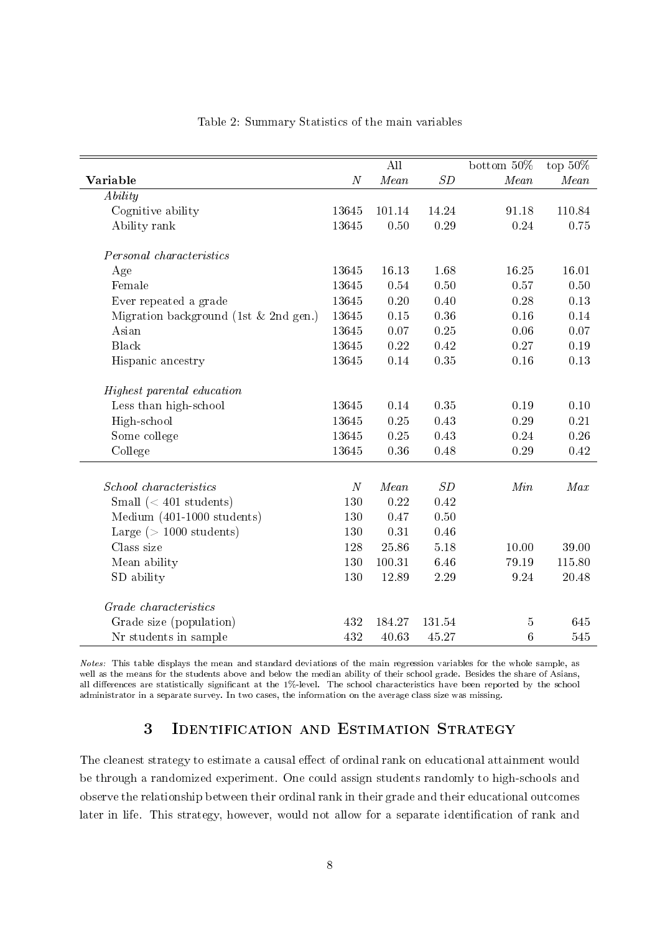<span id="page-7-0"></span>

|                                         |          | $\overline{\text{All}}$ |       | bottom 50%             | top $50\%$ |
|-----------------------------------------|----------|-------------------------|-------|------------------------|------------|
| Variable                                | $\cal N$ | Mean                    | SD    | $\label{eq:mean} Mean$ | Mean       |
| Ability                                 |          |                         |       |                        |            |
| Cognitive ability                       | 13645    | 101.14                  | 14.24 | 91.18                  | 110.84     |
| Ability rank                            | 13645    | 0.50                    | 0.29  | 0.24                   | 0.75       |
| Personal characteristics                |          |                         |       |                        |            |
| Age                                     | 13645    | 16.13                   | 1.68  | 16.25                  | 16.01      |
| Female                                  | 13645    | 0.54                    | 0.50  | 0.57                   | 0.50       |
| Ever repeated a grade                   | 13645    | $0.20\,$                | 0.40  | 0.28                   | 0.13       |
| Migration background (1st $&$ 2nd gen.) | 13645    | 0.15                    | 0.36  | 0.16                   | 0.14       |
| Asian                                   | 13645    | 0.07                    | 0.25  | 0.06                   | 0.07       |
| <b>Black</b>                            | 13645    | 0.22                    | 0.42  | 0.27                   | 0.19       |
| Hispanic ancestry                       | 13645    | $0.14\,$                | 0.35  | 0.16                   | 0.13       |
| Highest parental education              |          |                         |       |                        |            |
| Less than high-school                   | 13645    | 0.14                    | 0.35  | 0.19                   | 0.10       |
| High-school                             | 13645    | $0.25\,$                | 0.43  | 0.29                   | 0.21       |
| Some college                            | 13645    | 0.25                    | 0.43  | 0.24                   | 0.26       |
| College                                 | 13645    | 0.36                    | 0.48  | 0.29                   | 0.42       |
|                                         |          |                         |       |                        |            |
| School characteristics                  | $\cal N$ | $\label{eq:mean} Mean$  | SD    | Min                    | Max        |
| Small $(< 401$ students)                | 130      | 0.22                    | 0.42  |                        |            |
| Medium (401-1000 students)              | 130      | 0.47                    | 0.50  |                        |            |
| Large $(>1000$ students)                | 130      | 0.31                    | 0.46  |                        |            |
| Class size                              | 128      | 25.86                   | 5.18  | 10.00                  | 39.00      |
| Mean ability                            | 130      | 100.31                  | 6.46  | 79.19                  | 115.80     |
| SD ability                              | 130      | 12.89                   | 2.29  | 9.24                   | 20.48      |
| Grade characteristics                   |          |                         |       |                        |            |
| Grade size (population)                 | 432      | 184.27                  | 13154 | 5                      | 645        |
| Nr students in sample                   | 432      | 40.63                   | 45.27 | $6\phantom{.}6$        | 545        |

### Table 2: Summary Statistics of the main variables

Notes: This table displays the mean and standard deviations of the main regression variables for the whole sample, as well as the means for the students above and below the median ability of their school grade. Besides the share of Asians, all differences are statistically significant at the 1%-level. The school characteristics have been reported by the school administrator in a separate survey. In two cases, the information on the average class size was missing.

# 3 Identification and Estimation Strategy

The cleanest strategy to estimate a causal effect of ordinal rank on educational attainment would be through a randomized experiment. One could assign students randomly to high-schools and observe the relationship between their ordinal rank in their grade and their educational outcomes later in life. This strategy, however, would not allow for a separate identification of rank and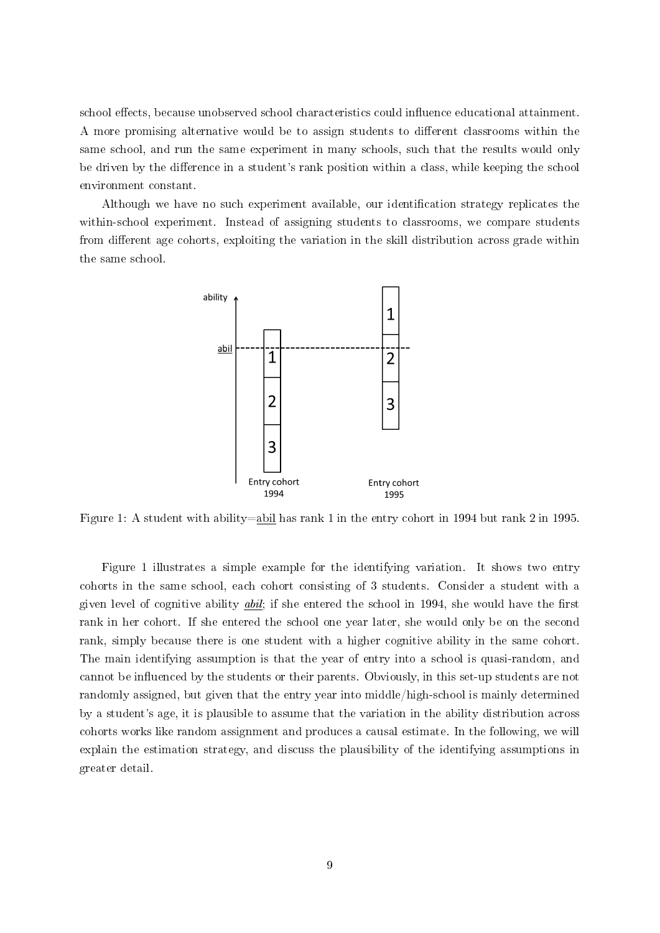school effects, because unobserved school characteristics could influence educational attainment. A more promising alternative would be to assign students to different classrooms within the same school, and run the same experiment in many schools, such that the results would only be driven by the difference in a student's rank position within a class, while keeping the school environment constant.

<span id="page-8-0"></span>Although we have no such experiment available, our identification strategy replicates the within-school experiment. Instead of assigning students to classrooms, we compare students from different age cohorts, exploiting the variation in the skill distribution across grade within the same school.



Figure 1: A student with ability=abil has rank 1 in the entry cohort in 1994 but rank 2 in 1995.

Figure [1](#page-8-0) illustrates a simple example for the identifying variation. It shows two entry cohorts in the same school, each cohort consisting of 3 students. Consider a student with a given level of cognitive ability  $abil$ ; if she entered the school in 1994, she would have the first rank in her cohort. If she entered the school one year later, she would only be on the second rank, simply because there is one student with a higher cognitive ability in the same cohort. The main identifying assumption is that the year of entry into a school is quasi-random, and cannot be influenced by the students or their parents. Obviously, in this set-up students are not randomly assigned, but given that the entry year into middle/high-school is mainly determined by a student's age, it is plausible to assume that the variation in the ability distribution across cohorts works like random assignment and produces a causal estimate. In the following, we will explain the estimation strategy, and discuss the plausibility of the identifying assumptions in greater detail.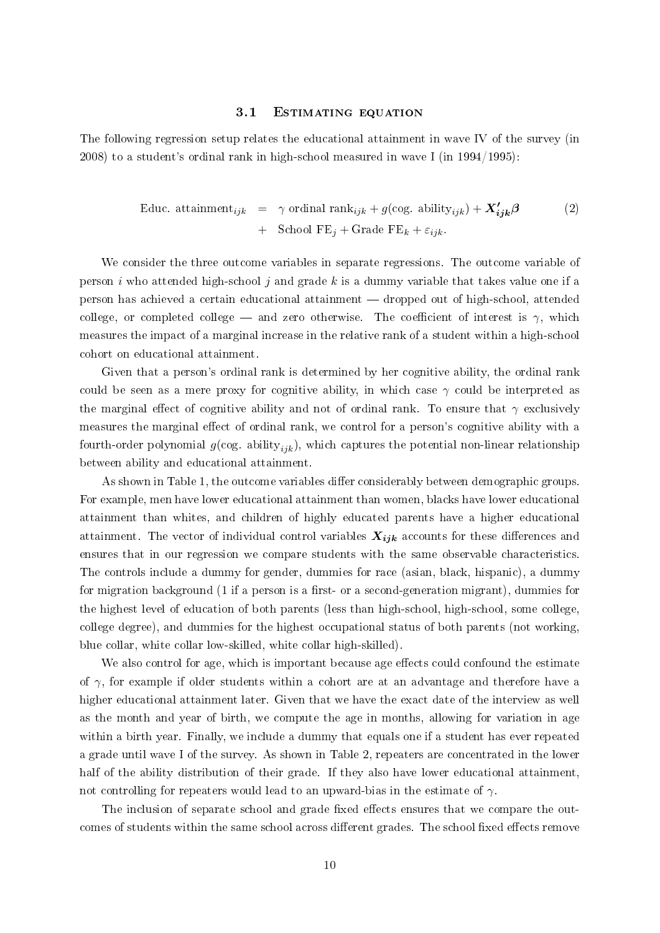#### 3.1 ESTIMATING EQUATION

The following regression setup relates the educational attainment in wave IV of the survey (in 2008) to a student's ordinal rank in high-school measured in wave I (in 1994/1995):

<span id="page-9-0"></span>Educ. attainment<sub>ijk</sub> = 
$$
\gamma
$$
 ordinal rank<sub>ijk</sub> +  $g(\text{cog. ability}_{ijk}) + \mathbf{X'_{ijk}}\beta$  (2)  
+ School FE<sub>j</sub> + Grade FE<sub>k</sub> +  $\varepsilon_{ijk}$ .

We consider the three outcome variables in separate regressions. The outcome variable of person i who attended high-school j and grade  $k$  is a dummy variable that takes value one if a person has achieved a certain educational attainment dropped out of high-school, attended college, or completed college  $-$  and zero otherwise. The coefficient of interest is  $\gamma$ , which measures the impact of a marginal increase in the relative rank of a student within a high-school cohort on educational attainment.

Given that a person's ordinal rank is determined by her cognitive ability, the ordinal rank could be seen as a mere proxy for cognitive ability, in which case  $\gamma$  could be interpreted as the marginal effect of cognitive ability and not of ordinal rank. To ensure that  $\gamma$  exclusively measures the marginal effect of ordinal rank, we control for a person's cognitive ability with a fourth-order polynomial  $g(\cos \alpha)$  ability<sub>ijk</sub>), which captures the potential non-linear relationship between ability and educational attainment.

As shown in Table [1,](#page-5-0) the outcome variables differ considerably between demographic groups. For example, men have lower educational attainment than women, blacks have lower educational attainment than whites, and children of highly educated parents have a higher educational attainment. The vector of individual control variables  $X_{ijk}$  accounts for these differences and ensures that in our regression we compare students with the same observable characteristics. The controls include a dummy for gender, dummies for race (asian, black, hispanic), a dummy for migration background  $(1 \text{ if a person is a first- or a second-generation migration})$ , dummies for the highest level of education of both parents (less than high-school, high-school, some college, college degree), and dummies for the highest occupational status of both parents (not working, blue collar, white collar low-skilled, white collar high-skilled).

We also control for age, which is important because age effects could confound the estimate of  $\gamma$ , for example if older students within a cohort are at an advantage and therefore have a higher educational attainment later. Given that we have the exact date of the interview as well as the month and year of birth, we compute the age in months, allowing for variation in age within a birth year. Finally, we include a dummy that equals one if a student has ever repeated a grade until wave I of the survey. As shown in Table [2,](#page-7-0) repeaters are concentrated in the lower half of the ability distribution of their grade. If they also have lower educational attainment not controlling for repeaters would lead to an upward-bias in the estimate of  $\gamma$ .

The inclusion of separate school and grade fixed effects ensures that we compare the outcomes of students within the same school across different grades. The school fixed effects remove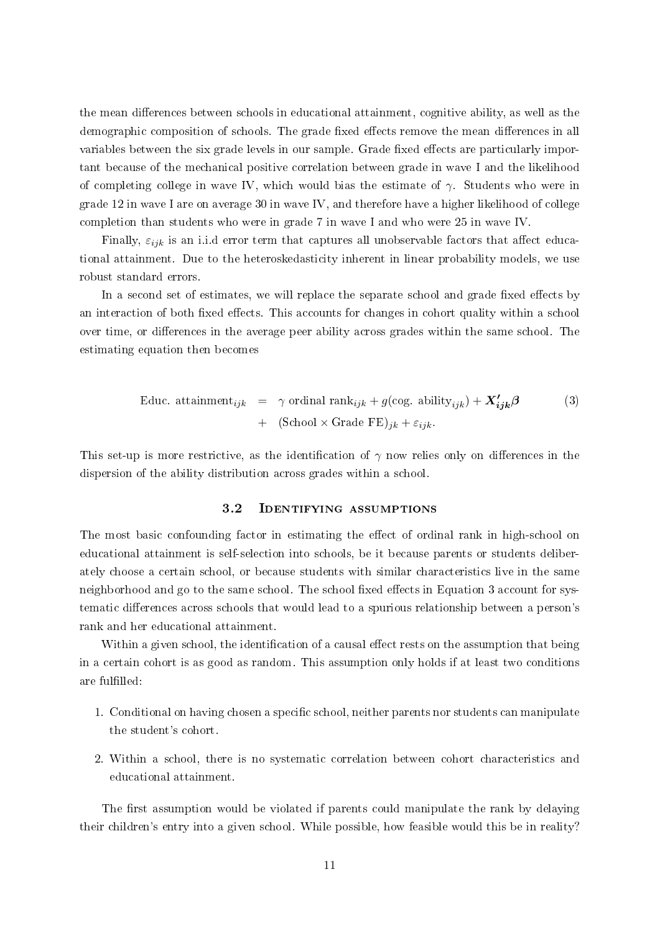the mean differences between schools in educational attainment, cognitive ability, as well as the demographic composition of schools. The grade fixed effects remove the mean differences in all variables between the six grade levels in our sample. Grade fixed effects are particularly important because of the mechanical positive correlation between grade in wave I and the likelihood of completing college in wave IV, which would bias the estimate of  $\gamma$ . Students who were in grade 12 in wave I are on average 30 in wave IV, and therefore have a higher likelihood of college completion than students who were in grade 7 in wave I and who were 25 in wave IV.

Finally,  $\varepsilon_{ijk}$  is an i.i.d error term that captures all unobservable factors that affect educational attainment. Due to the heteroskedasticity inherent in linear probability models, we use robust standard errors.

In a second set of estimates, we will replace the separate school and grade fixed effects by an interaction of both fixed effects. This accounts for changes in cohort quality within a school over time, or differences in the average peer ability across grades within the same school. The estimating equation then becomes

<span id="page-10-0"></span>Educ. attainment<sub>ijk</sub> = 
$$
\gamma
$$
 ordinal rank<sub>ijk</sub> +  $g(\text{cog. ability}_{ijk}) + X'_{ijk}\beta$  (3)  
+ (School × Grade FE)<sub>jk</sub> +  $\varepsilon_{ijk}$ .

This set-up is more restrictive, as the identification of  $\gamma$  now relies only on differences in the dispersion of the ability distribution across grades within a school.

### 3.2 Identifying assumptions

The most basic confounding factor in estimating the effect of ordinal rank in high-school on educational attainment is self-selection into schools, be it because parents or students deliberately choose a certain school, or because students with similar characteristics live in the same neighborhood and go to the same school. The school fixed effects in Equation [3](#page-9-0) account for systematic differences across schools that would lead to a spurious relationship between a person's rank and her educational attainment.

Within a given school, the identification of a causal effect rests on the assumption that being in a certain cohort is as good as random. This assumption only holds if at least two conditions are fulfilled:

- 1. Conditional on having chosen a specific school, neither parents nor students can manipulate the student's cohort.
- 2. Within a school, there is no systematic correlation between cohort characteristics and educational attainment.

The first assumption would be violated if parents could manipulate the rank by delaying their children's entry into a given school. While possible, how feasible would this be in reality?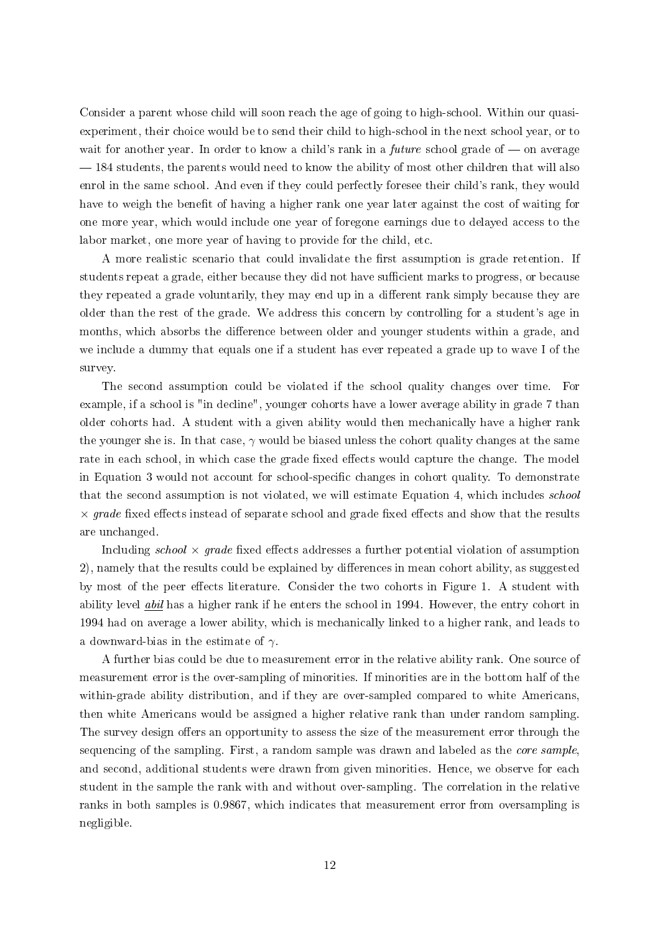Consider a parent whose child will soon reach the age of going to high-school. Within our quasiexperiment, their choice would be to send their child to high-school in the next school year, or to wait for another year. In order to know a child's rank in a *future* school grade of  $\sim$  on average  $-184$  students, the parents would need to know the ability of most other children that will also enrol in the same school. And even if they could perfectly foresee their child's rank, they would have to weigh the benefit of having a higher rank one year later against the cost of waiting for one more year, which would include one year of foregone earnings due to delayed access to the labor market, one more year of having to provide for the child, etc.

A more realistic scenario that could invalidate the first assumption is grade retention. If students repeat a grade, either because they did not have sufficient marks to progress, or because they repeated a grade voluntarily, they may end up in a different rank simply because they are older than the rest of the grade. We address this concern by controlling for a student's age in months, which absorbs the difference between older and younger students within a grade, and we include a dummy that equals one if a student has ever repeated a grade up to wave I of the survey.

The second assumption could be violated if the school quality changes over time. For example, if a school is "in decline", younger cohorts have a lower average ability in grade 7 than older cohorts had. A student with a given ability would then mechanically have a higher rank the younger she is. In that case,  $\gamma$  would be biased unless the cohort quality changes at the same rate in each school, in which case the grade fixed effects would capture the change. The model in Equation [3](#page-9-0) would not account for school-specific changes in cohort quality. To demonstrate that the second assumption is not violated, we will estimate Equation [4,](#page-10-0) which includes school  $\times$  grade fixed effects instead of separate school and grade fixed effects and show that the results are unchanged.

Including school  $\times$  grade fixed effects addresses a further potential violation of assumption 2), namely that the results could be explained by differences in mean cohort ability, as suggested by most of the peer effects literature. Consider the two cohorts in Figure [1.](#page-8-0) A student with ability level *abil* has a higher rank if he enters the school in 1994. However, the entry cohort in 1994 had on average a lower ability, which is mechanically linked to a higher rank, and leads to a downward-bias in the estimate of  $\gamma$ .

A further bias could be due to measurement error in the relative ability rank. One source of measurement error is the over-sampling of minorities. If minorities are in the bottom half of the within-grade ability distribution, and if they are over-sampled compared to white Americans, then white Americans would be assigned a higher relative rank than under random sampling. The survey design offers an opportunity to assess the size of the measurement error through the sequencing of the sampling. First, a random sample was drawn and labeled as the core sample, and second, additional students were drawn from given minorities. Hence, we observe for each student in the sample the rank with and without over-sampling. The correlation in the relative ranks in both samples is 0.9867, which indicates that measurement error from oversampling is negligible.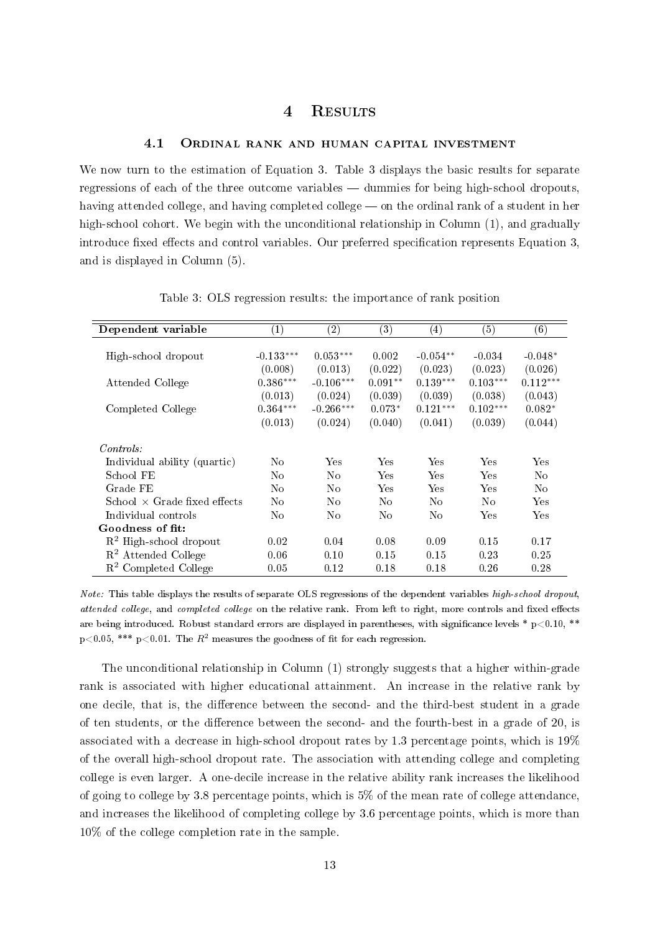## 4 Results

### 4.1 Ordinal rank and human capital investment

We now turn to the estimation of Equation [3.](#page-9-0) Table [3](#page-12-0) displays the basic results for separate regressions of each of the three outcome variables  $-$  dummies for being high-school dropouts, having attended college, and having completed college  $\sim$  on the ordinal rank of a student in her high-school cohort. We begin with the unconditional relationship in Column  $(1)$ , and gradually introduce fixed effects and control variables. Our preferred specification represents Equation  $3$ , and is displayed in Column (5).

<span id="page-12-0"></span>

| Dependent variable                  | $\left( 1\right)$ | $\left( 2\right)$ | $\left( 3\right)$ | $\left( 4\right)$ | $\left( 5\right)$ | (6)            |
|-------------------------------------|-------------------|-------------------|-------------------|-------------------|-------------------|----------------|
|                                     |                   |                   |                   |                   |                   |                |
| High-school dropout                 | $-0.133***$       | $0.053***$        | 0.002             | $-0.054**$        | $-0.034$          | $-0.048*$      |
|                                     | (0.008)           | (0.013)           | (0.022)           | (0.023)           | (0.023)           | (0.026)        |
| Attended College                    | $0.386***$        | $-0.106***$       | $0.091**$         | $0.139***$        | $0.103***$        | $0.112***$     |
|                                     | (0.013)           | (0.024)           | (0.039)           | (0.039)           | (0.038)           | (0.043)        |
| Completed College                   | $0.364***$        | $-0.266***$       | $0.073*$          | $0.121***$        | $0.102***$        | $0.082*$       |
|                                     | (0.013)           | (0.024)           | (0.040)           | (0.041)           | (0.039)           | (0.044)        |
| Contents:                           |                   |                   |                   |                   |                   |                |
| Individual ability (quartic)        | No                | Yes               | Yes               | Yes               | Yes               | Yes            |
| School FE                           | N <sub>o</sub>    | N <sub>o</sub>    | <b>Yes</b>        | Yes               | Yes               | No             |
| Grade FE                            | N <sub>0</sub>    | N <sub>o</sub>    | Yes               | Yes               | Yes               | N <sub>0</sub> |
| School $\times$ Grade fixed effects | No                | No                | No                | N <sub>o</sub>    | N <sub>0</sub>    | Yes            |
| Individual controls                 | No                | No                | No                | No.               | Yes               | Yes            |
| Goodness of fit:                    |                   |                   |                   |                   |                   |                |
| $R2$ High-school dropout            | 0.02              | 0.04              | 0.08              | 0.09              | 0.15              | 0.17           |
| $R2$ Attended College               | 0.06              | 0.10              | 0.15              | 0.15              | 0.23              | 0.25           |
| $R2$ Completed College              | 0.05              | 0.12              | 0.18              | 0.18              | 0.26              | 0.28           |

Table 3: OLS regression results: the importance of rank position

Note: This table displays the results of separate OLS regressions of the dependent variables high-school dropout, attended college, and completed college on the relative rank. From left to right, more controls and fixed effects are being introduced. Robust standard errors are displayed in parentheses, with significance levels  $*$  p $< 0.10, **$ p<0.05, \*\*\* p<0.01. The  $R^2$  measures the goodness of fit for each regression.

The unconditional relationship in Column (1) strongly suggests that a higher within-grade rank is associated with higher educational attainment. An increase in the relative rank by one decile, that is, the difference between the second- and the third-best student in a grade of ten students, or the difference between the second- and the fourth-best in a grade of  $20$ , is associated with a decrease in high-school dropout rates by 1.3 percentage points, which is 19% of the overall high-school dropout rate. The association with attending college and completing college is even larger. A one-decile increase in the relative ability rank increases the likelihood of going to college by 3.8 percentage points, which is 5% of the mean rate of college attendance, and increases the likelihood of completing college by 3.6 percentage points, which is more than 10% of the college completion rate in the sample.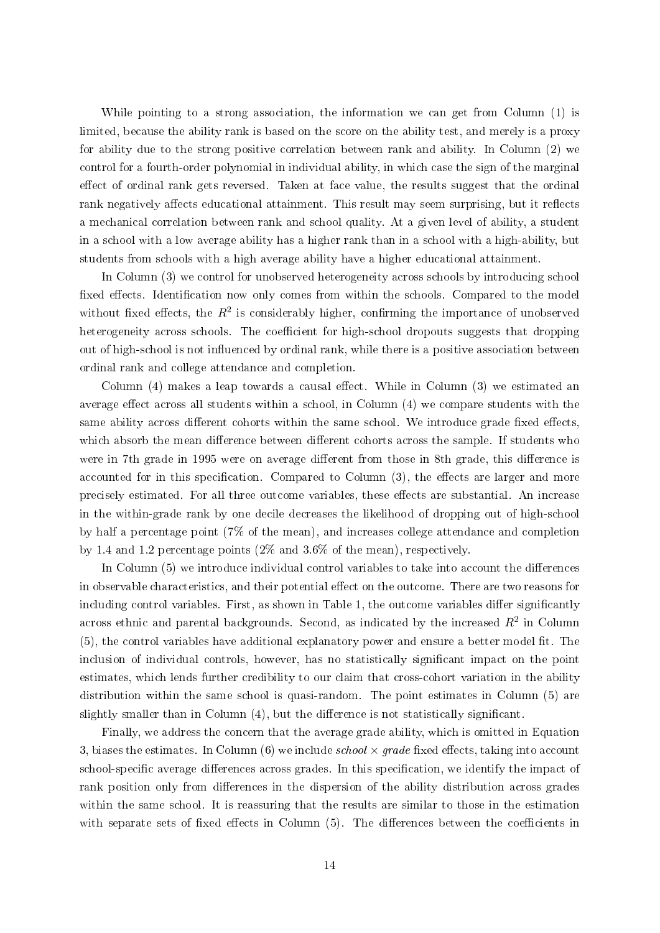While pointing to a strong association, the information we can get from Column (1) is limited, because the ability rank is based on the score on the ability test, and merely is a proxy for ability due to the strong positive correlation between rank and ability. In Column (2) we control for a fourth-order polynomial in individual ability, in which case the sign of the marginal effect of ordinal rank gets reversed. Taken at face value, the results suggest that the ordinal rank negatively affects educational attainment. This result may seem surprising, but it reflects a mechanical correlation between rank and school quality. At a given level of ability, a student in a school with a low average ability has a higher rank than in a school with a high-ability, but students from schools with a high average ability have a higher educational attainment.

In Column (3) we control for unobserved heterogeneity across schools by introducing school fixed effects. Identification now only comes from within the schools. Compared to the model without fixed effects, the  $R^2$  is considerably higher, confirming the importance of unobserved heterogeneity across schools. The coefficient for high-school dropouts suggests that dropping out of high-school is not influenced by ordinal rank, while there is a positive association between ordinal rank and college attendance and completion.

Column  $(4)$  makes a leap towards a causal effect. While in Column  $(3)$  we estimated an average effect across all students within a school, in Column  $(4)$  we compare students with the same ability across different cohorts within the same school. We introduce grade fixed effects which absorb the mean difference between different cohorts across the sample. If students who were in 7th grade in 1995 were on average different from those in 8th grade, this difference is accounted for in this specification. Compared to Column  $(3)$ , the effects are larger and more precisely estimated. For all three outcome variables, these effects are substantial. An increase in the within-grade rank by one decile decreases the likelihood of dropping out of high-school by half a percentage point (7% of the mean), and increases college attendance and completion by 1.4 and 1.2 percentage points (2% and 3.6% of the mean), respectively.

In Column  $(5)$  we introduce individual control variables to take into account the differences in observable characteristics, and their potential effect on the outcome. There are two reasons for including control variables. First, as shown in Table [1,](#page-5-0) the outcome variables differ significantly across ethnic and parental backgrounds. Second, as indicated by the increased  $R^2$  in Column  $(5)$ , the control variables have additional explanatory power and ensure a better model fit. The inclusion of individual controls, however, has no statistically significant impact on the point estimates, which lends further credibility to our claim that cross-cohort variation in the ability distribution within the same school is quasi-random. The point estimates in Column (5) are slightly smaller than in Column  $(4)$ , but the difference is not statistically significant.

Finally, we address the concern that the average grade ability, which is omitted in Equation [3,](#page-9-0) biases the estimates. In Column  $(6)$  we include school  $\times$  grade fixed effects, taking into account school-specific average differences across grades. In this specification, we identify the impact of rank position only from differences in the dispersion of the ability distribution across grades within the same school. It is reassuring that the results are similar to those in the estimation with separate sets of fixed effects in Column  $(5)$ . The differences between the coefficients in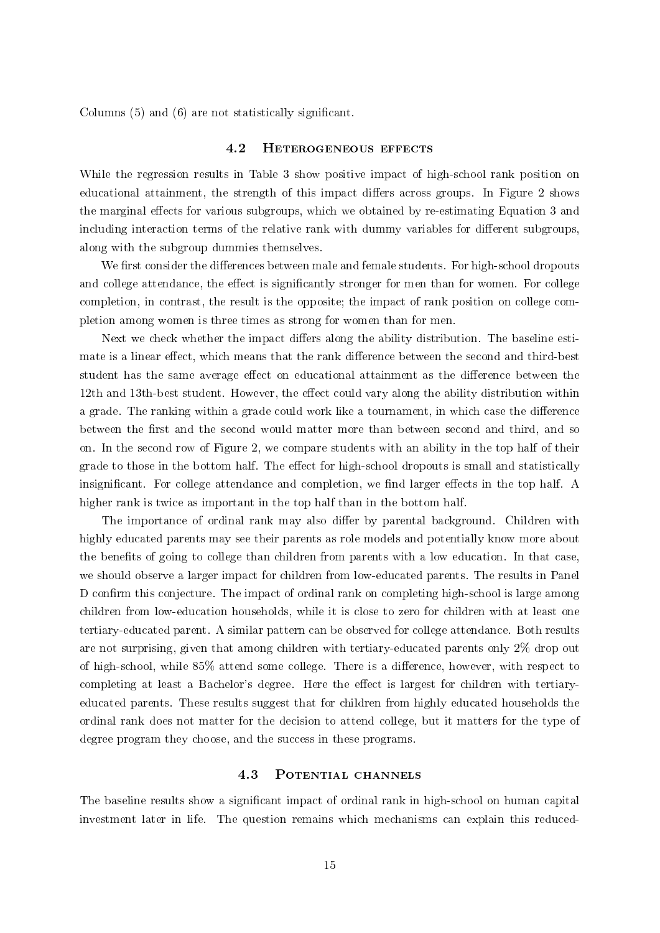Columns (5) and (6) are not statistically significant.

#### 4.2 Heterogeneous effects

While the regression results in Table [3](#page-12-0) show positive impact of high-school rank position on educational attainment, the strength of this impact differs across groups. In Figure [2](#page-15-0) shows the marginal effects for various subgroups, which we obtained by re-estimating Equation [3](#page-9-0) and including interaction terms of the relative rank with dummy variables for different subgroups, along with the subgroup dummies themselves.

We first consider the differences between male and female students. For high-school dropouts and college attendance, the effect is significantly stronger for men than for women. For college completion, in contrast, the result is the opposite; the impact of rank position on college completion among women is three times as strong for women than for men.

Next we check whether the impact differs along the ability distribution. The baseline estimate is a linear effect, which means that the rank difference between the second and third-best student has the same average effect on educational attainment as the difference between the 12th and 13th-best student. However, the effect could vary along the ability distribution within a grade. The ranking within a grade could work like a tournament, in which case the difference between the first and the second would matter more than between second and third, and so on. In the second row of Figure [2,](#page-15-0) we compare students with an ability in the top half of their grade to those in the bottom half. The effect for high-school dropouts is small and statistically insignificant. For college attendance and completion, we find larger effects in the top half. A higher rank is twice as important in the top half than in the bottom half.

The importance of ordinal rank may also differ by parental background. Children with highly educated parents may see their parents as role models and potentially know more about the benefits of going to college than children from parents with a low education. In that case, we should observe a larger impact for children from low-educated parents. The results in Panel D confirm this conjecture. The impact of ordinal rank on completing high-school is large among children from low-education households, while it is close to zero for children with at least one tertiary-educated parent. A similar pattern can be observed for college attendance. Both results are not surprising, given that among children with tertiary-educated parents only 2% drop out of high-school, while  $85\%$  attend some college. There is a difference, however, with respect to completing at least a Bachelor's degree. Here the effect is largest for children with tertiaryeducated parents. These results suggest that for children from highly educated households the ordinal rank does not matter for the decision to attend college, but it matters for the type of degree program they choose, and the success in these programs.

### 4.3 Potential channels

The baseline results show a significant impact of ordinal rank in high-school on human capital investment later in life. The question remains which mechanisms can explain this reduced-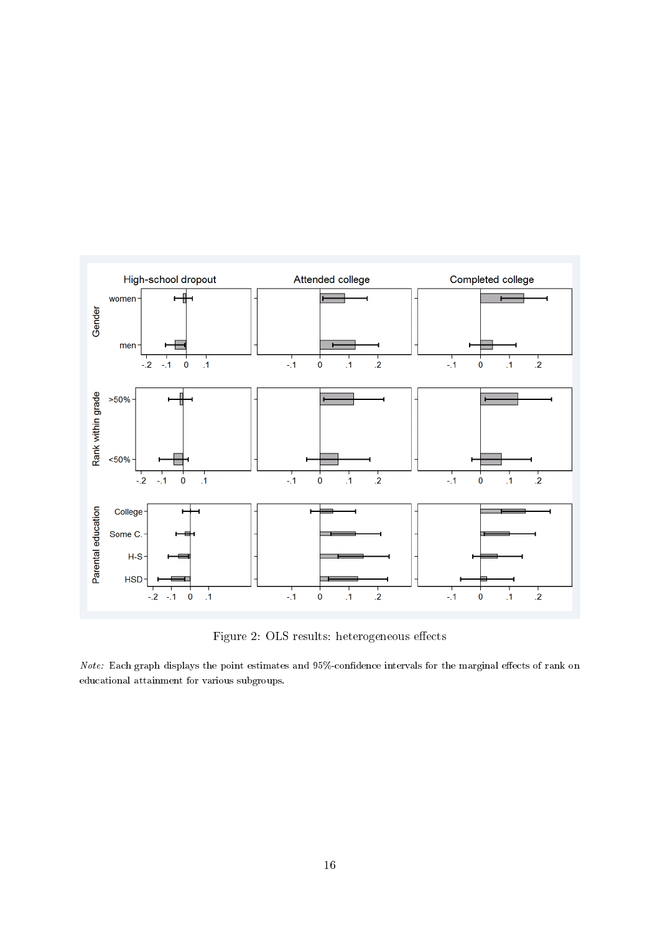<span id="page-15-0"></span>

Figure 2: OLS results: heterogeneous effects

 $Note:$  Each graph displays the point estimates and  $95\%$ -confidence intervals for the marginal effects of rank on educational attainment for various subgroups.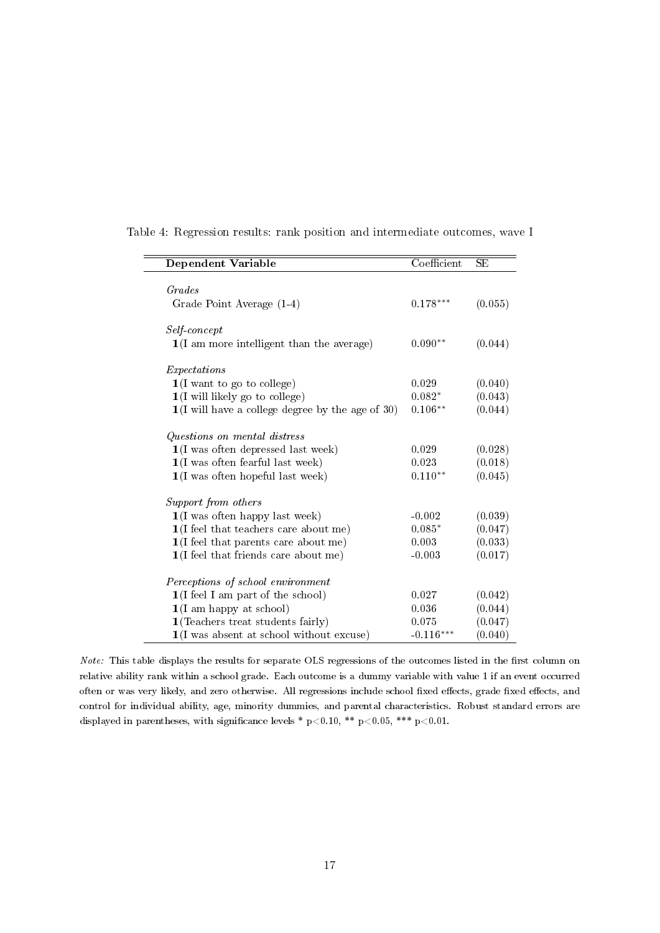| Dependent Variable                                          | Coefficient | <b>SE</b> |
|-------------------------------------------------------------|-------------|-----------|
|                                                             |             |           |
| Grades                                                      |             |           |
| Grade Point Average (1-4)                                   | $0.178***$  | (0.055)   |
| Self-concept                                                |             |           |
| $1(I \text{ am more intelligent than the average})$         | $0.090**$   | (0.044)   |
| Expectations                                                |             |           |
| $1(I$ want to go to college)                                | 0.029       | (0.040)   |
| $1(I$ will likely go to college)                            | $0.082*$    | (0.043)   |
| $1(I$ will have a college degree by the age of 30)          | $0.106**$   | (0.044)   |
| Questions on mental distress                                |             |           |
| $1(I$ was often depressed last week)                        | 0.029       | (0.028)   |
| $\mathbf{1}(\mathbf{I}% _{t})$ was often fearful last week) | 0.023       | (0.018)   |
| $1(I$ was often hopeful last week)                          | $0.110**$   | (0.045)   |
| Support from others                                         |             |           |
| $1(I$ was often happy last week)                            | $-0.002$    | (0.039)   |
| $1(I$ feel that teachers care about me)                     | $0.085*$    | (0.047)   |
| $1(I \text{ feel that parents care about me})$              | 0.003       | (0.033)   |
| 1(I feel that friends care about me)                        | $-0.003$    | (0.017)   |
| Perceptions of school environment                           |             |           |
| $1(I \text{ feel } I \text{ am part of the school})$        | 0.027       | (0.042)   |
| $1(I \text{ am happy at school})$                           | 0.036       | (0.044)   |
| $1$ (Teachers treat students fairly)                        | 0.075       | (0.047)   |
| $1(I$ was absent at school without excuse)                  | $-0.116***$ | (0.040)   |

<span id="page-16-0"></span>

|  |  |  |  |  |  | Table 4: Regression results: rank position and intermediate outcomes, wave I |
|--|--|--|--|--|--|------------------------------------------------------------------------------|
|--|--|--|--|--|--|------------------------------------------------------------------------------|

Note: This table displays the results for separate OLS regressions of the outcomes listed in the first column on relative ability rank within a school grade. Each outcome is a dummy variable with value 1 if an event occurred often or was very likely, and zero otherwise. All regressions include school fixed effects, grade fixed effects, and control for individual ability, age, minority dummies, and parental characteristics. Robust standard errors are displayed in parentheses, with significance levels \* p<0.10, \*\* p<0.05, \*\*\* p<0.01.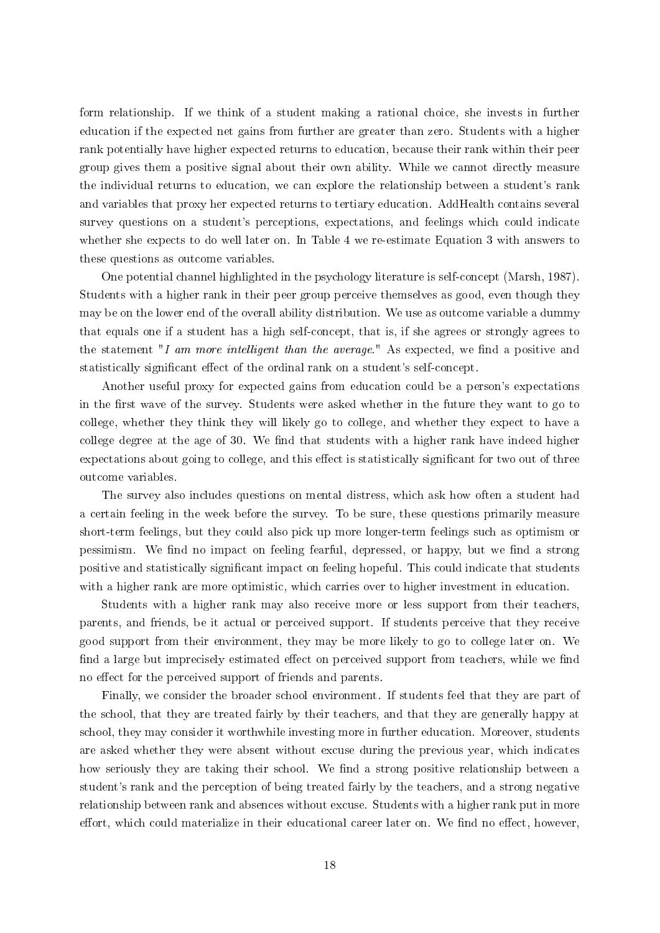form relationship. If we think of a student making a rational choice, she invests in further education if the expected net gains from further are greater than zero. Students with a higher rank potentially have higher expected returns to education, because their rank within their peer group gives them a positive signal about their own ability. While we cannot directly measure the individual returns to education, we can explore the relationship between a student's rank and variables that proxy her expected returns to tertiary education. AddHealth contains several survey questions on a student's perceptions, expectations, and feelings which could indicate whether she expects to do well later on. In Table [4](#page-16-0) we re-estimate Equation [3](#page-9-0) with answers to these questions as outcome variables.

One potential channel highlighted in the psychology literature is self-concept [\(Marsh, 1987\)](#page-20-2). Students with a higher rank in their peer group perceive themselves as good, even though they may be on the lower end of the overall ability distribution. We use as outcome variable a dummy that equals one if a student has a high self-concept, that is, if she agrees or strongly agrees to the statement "I am more intelligent than the average." As expected, we find a positive and statistically significant effect of the ordinal rank on a student's self-concept.

Another useful proxy for expected gains from education could be a person's expectations in the first wave of the survey. Students were asked whether in the future they want to go to college, whether they think they will likely go to college, and whether they expect to have a college degree at the age of 30. We find that students with a higher rank have indeed higher expectations about going to college, and this effect is statistically significant for two out of three outcome variables.

The survey also includes questions on mental distress, which ask how often a student had a certain feeling in the week before the survey. To be sure, these questions primarily measure short-term feelings, but they could also pick up more longer-term feelings such as optimism or pessimism. We find no impact on feeling fearful, depressed, or happy, but we find a strong positive and statistically significant impact on feeling hopeful. This could indicate that students with a higher rank are more optimistic, which carries over to higher investment in education.

Students with a higher rank may also receive more or less support from their teachers, parents, and friends, be it actual or perceived support. If students perceive that they receive good support from their environment, they may be more likely to go to college later on. We find a large but imprecisely estimated effect on perceived support from teachers, while we find no effect for the perceived support of friends and parents.

Finally, we consider the broader school environment. If students feel that they are part of the school, that they are treated fairly by their teachers, and that they are generally happy at school, they may consider it worthwhile investing more in further education. Moreover, students are asked whether they were absent without excuse during the previous year, which indicates how seriously they are taking their school. We find a strong positive relationship between a student's rank and the perception of being treated fairly by the teachers, and a strong negative relationship between rank and absences without excuse. Students with a higher rank put in more effort, which could materialize in their educational career later on. We find no effect, however,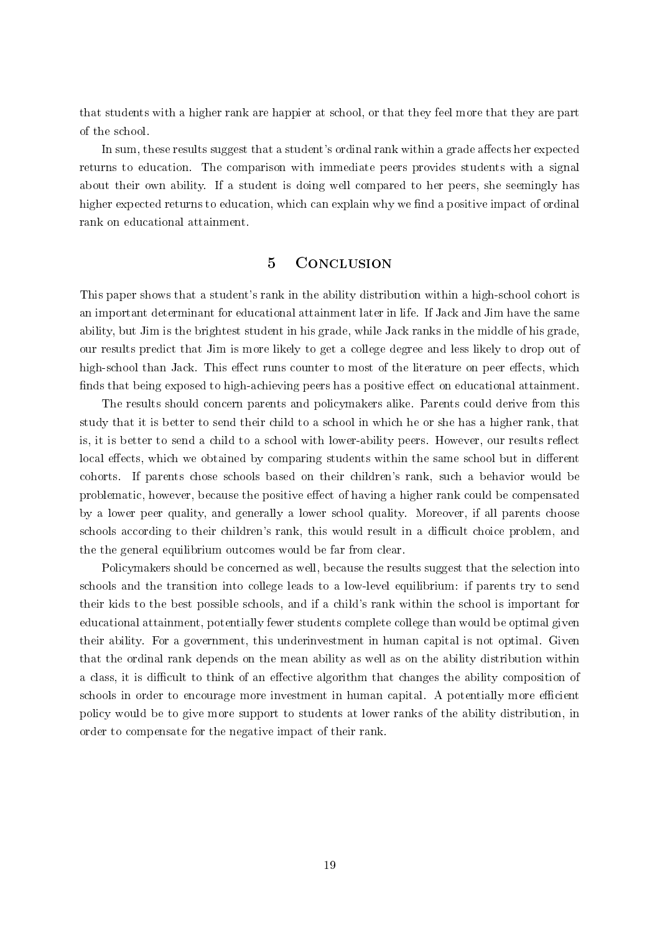that students with a higher rank are happier at school, or that they feel more that they are part of the school.

In sum, these results suggest that a student's ordinal rank within a grade affects her expected returns to education. The comparison with immediate peers provides students with a signal about their own ability. If a student is doing well compared to her peers, she seemingly has higher expected returns to education, which can explain why we find a positive impact of ordinal rank on educational attainment.

# 5 CONCLUSION

This paper shows that a student's rank in the ability distribution within a high-school cohort is an important determinant for educational attainment later in life. If Jack and Jim have the same ability, but Jim is the brightest student in his grade, while Jack ranks in the middle of his grade, our results predict that Jim is more likely to get a college degree and less likely to drop out of high-school than Jack. This effect runs counter to most of the literature on peer effects, which finds that being exposed to high-achieving peers has a positive effect on educational attainment.

The results should concern parents and policymakers alike. Parents could derive from this study that it is better to send their child to a school in which he or she has a higher rank, that is, it is better to send a child to a school with lower-ability peers. However, our results reflect local effects, which we obtained by comparing students within the same school but in different cohorts. If parents chose schools based on their children's rank, such a behavior would be problematic, however, because the positive effect of having a higher rank could be compensated by a lower peer quality, and generally a lower school quality. Moreover, if all parents choose schools according to their children's rank, this would result in a difficult choice problem, and the the general equilibrium outcomes would be far from clear.

Policymakers should be concerned as well, because the results suggest that the selection into schools and the transition into college leads to a low-level equilibrium: if parents try to send their kids to the best possible schools, and if a child's rank within the school is important for educational attainment, potentially fewer students complete college than would be optimal given their ability. For a government, this underinvestment in human capital is not optimal. Given that the ordinal rank depends on the mean ability as well as on the ability distribution within a class, it is difficult to think of an effective algorithm that changes the ability composition of schools in order to encourage more investment in human capital. A potentially more efficient policy would be to give more support to students at lower ranks of the ability distribution, in order to compensate for the negative impact of their rank.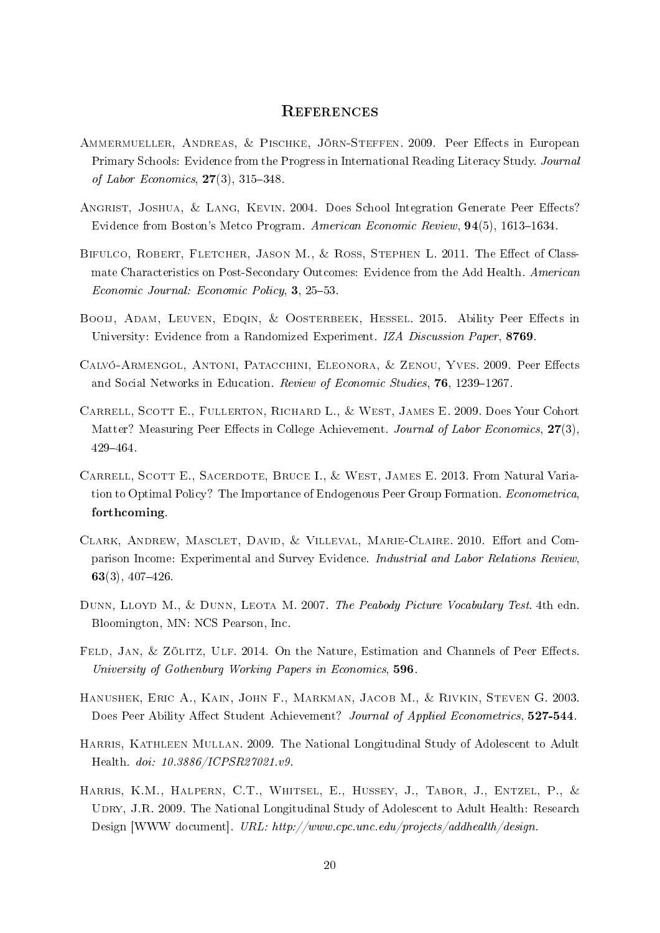### **REFERENCES**

- <span id="page-19-1"></span>AMMERMUELLER, ANDREAS, & PISCHKE, JÖRN-STEFFEN. 2009. Peer Effects in European Primary Schools: Evidence from the Progress in International Reading Literacy Study. Journal of Labor Economics,  $27(3)$ ,  $315-348$ .
- <span id="page-19-6"></span>ANGRIST, JOSHUA, & LANG, KEVIN. 2004. Does School Integration Generate Peer Effects? Evidence from Boston's Metco Program. American Economic Review,  $94(5)$ , 1613–1634.
- <span id="page-19-5"></span>BIFULCO, ROBERT, FLETCHER, JASON M., & ROSS, STEPHEN L. 2011. The Effect of Classmate Characteristics on Post-Secondary Outcomes: Evidence from the Add Health. American  $Economic\ Journal: Economic\ Policy, 3, 25-53.$
- <span id="page-19-4"></span>BOOIJ, ADAM, LEUVEN, EDQIN, & OOSTERBEEK, HESSEL. 2015. Ability Peer Effects in University: Evidence from a Randomized Experiment. IZA Discussion Paper, 8769.
- <span id="page-19-2"></span>CALVÓ-ARMENGOL, ANTONI, PATACCHINI, ELEONORA, & ZENOU, YVES. 2009. Peer Effects and Social Networks in Education. Review of Economic Studies, 76, 1239-1267.
- <span id="page-19-3"></span>Carrell, Scott E., Fullerton, Richard L., & West, James E. 2009. Does Your Cohort Matter? Measuring Peer Effects in College Achievement. Journal of Labor Economics, 27(3), 429464.
- <span id="page-19-7"></span>CARRELL, SCOTT E., SACERDOTE, BRUCE I., & WEST, JAMES E. 2013. From Natural Variation to Optimal Policy? The Importance of Endogenous Peer Group Formation. Econometrica. forthcoming.
- <span id="page-19-9"></span>CLARK, ANDREW, MASCLET, DAVID, & VILLEVAL, MARIE-CLAIRE. 2010. Effort and Comparison Income: Experimental and Survey Evidence. Industrial and Labor Relations Review,  $63(3), 407-426.$
- <span id="page-19-12"></span>DUNN, LLOYD M., & DUNN, LEOTA M. 2007. The Peabody Picture Vocabulary Test. 4th edn. Bloomington, MN: NCS Pearson, Inc.
- <span id="page-19-8"></span>FELD, JAN, & ZÖLITZ, ULF. 2014. On the Nature, Estimation and Channels of Peer Effects. University of Gothenburg Working Papers in Economics, 596.
- <span id="page-19-0"></span>Hanushek, Eric A., Kain, John F., Markman, Jacob M., & Rivkin, Steven G. 2003. Does Peer Ability Affect Student Achievement? Journal of Applied Econometrics, 527-544.
- <span id="page-19-10"></span>Harris, Kathleen Mullan. 2009. The National Longitudinal Study of Adolescent to Adult Health. doi: 10.3886/ICPSR27021.v9.
- <span id="page-19-11"></span>Harris, K.M., Halpern, C.T., Whitsel, E., Hussey, J., Tabor, J., Entzel, P., & UDRY, J.R. 2009. The National Longitudinal Study of Adolescent to Adult Health: Research Design [WWW document]. URL: http://www.cpc.unc.edu/projects/addhealth/design.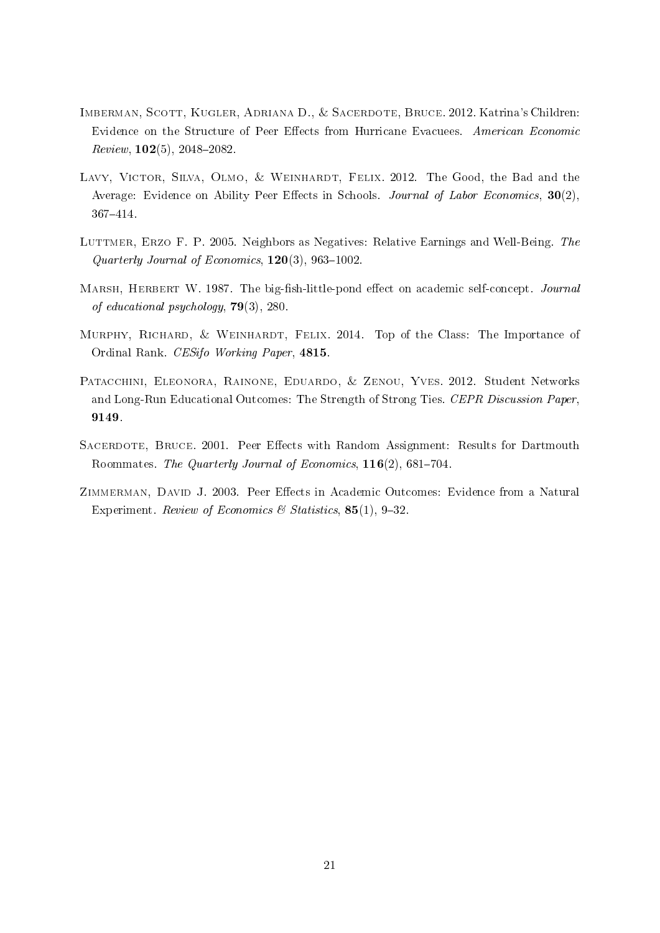- <span id="page-20-3"></span>Imberman, Scott, Kugler, Adriana D., & Sacerdote, Bruce. 2012. Katrina's Children: Evidence on the Structure of Peer Effects from Hurricane Evacuees. American Economic  $Review, 102(5), 2048-2082.$
- <span id="page-20-0"></span>LAVY, VICTOR, SILVA, OLMO, & WEINHARDT, FELIX. 2012. The Good, the Bad and the Average: Evidence on Ability Peer Effects in Schools. Journal of Labor Economics,  $30(2)$ , 367414.
- <span id="page-20-7"></span>LUTTMER, ERZO F. P. 2005. Neighbors as Negatives: Relative Earnings and Well-Being. The Quarterly Journal of Economics,  $120(3)$ ,  $963-1002$ .
- <span id="page-20-2"></span>MARSH, HERBERT W. 1987. The big-fish-little-pond effect on academic self-concept. Journal of educational psychology, 79(3), 280.
- <span id="page-20-6"></span>Murphy, Richard, & Weinhardt, Felix. 2014. Top of the Class: The Importance of Ordinal Rank. CESifo Working Paper, 4815.
- <span id="page-20-1"></span>PATACCHINI, ELEONORA, RAINONE, EDUARDO, & ZENOU, YVES. 2012. Student Networks and Long-Run Educational Outcomes: The Strength of Strong Ties. CEPR Discussion Paper, 9149.
- <span id="page-20-4"></span>SACERDOTE, BRUCE. 2001. Peer Effects with Random Assignment: Results for Dartmouth Roommates. The Quarterly Journal of Economics, 116(2), 681-704.
- <span id="page-20-5"></span>ZIMMERMAN, DAVID J. 2003. Peer Effects in Academic Outcomes: Evidence from a Natural Experiment. Review of Economics & Statistics, 85(1), 9-32.